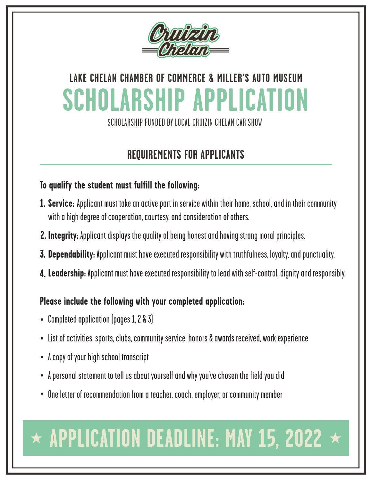

SCHOLARSHIP FUNDED BY LOCAL CRUIZIN CHELAN CAR SHOW

### **REQUIREMENTS FOR APPLICANTS**

#### **To qualify the student must fulfill the following:**

- **Service:** Applicant must take an active part in service within their home, school, and in their community **1.** with a high degree of cooperation, courtesy, and consideration of others.
- **Integrity:** Applicant displays the quality of being honest and having strong moral principles. **2.**
- **Dependability:** Applicant must have executed responsibility with truthfulness, loyalty, and punctuality. **3.**
- **Leadership:** Applicant must have executed responsibility to lead with self-control, dignity and responsibly. **4.**

#### **Please include the following with your completed application:**

- Completed application (pages 1, 2 & 3)
- List of activities, sports, clubs, community service, honors & awards received, work experience
- A copy of your high school transcript
- A personal statement to tell us about yourself and why you've chosen the field you did
- One letter of recommendation from a teacher, coach, employer, or community member

# $\star$  APPLICATION DEADLINE: MAY 15, 2022  $\star$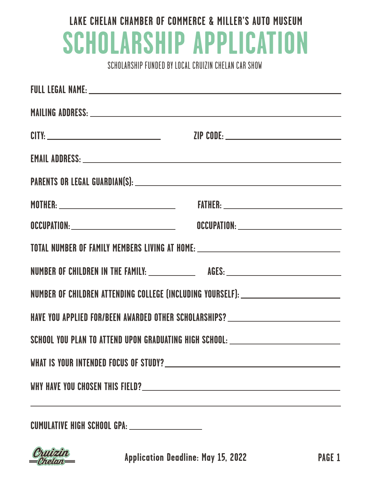SCHOLARSHIP FUNDED BY LOCAL CRUIZIN CHELAN CAR SHOW

| MAILING ADDRESS: University of the contract of the contract of the contract of the contract of the contract of the contract of the contract of the contract of the contract of the contract of the contract of the contract of |  |  |  |
|--------------------------------------------------------------------------------------------------------------------------------------------------------------------------------------------------------------------------------|--|--|--|
|                                                                                                                                                                                                                                |  |  |  |
| EMAIL ADDRESS: University of the contract of the contract of the contract of the contract of the contract of the contract of the contract of the contract of the contract of the contract of the contract of the contract of t |  |  |  |
|                                                                                                                                                                                                                                |  |  |  |
|                                                                                                                                                                                                                                |  |  |  |
|                                                                                                                                                                                                                                |  |  |  |
| TOTAL NUMBER OF FAMILY MEMBERS LIVING AT HOME: _________________________________                                                                                                                                               |  |  |  |
|                                                                                                                                                                                                                                |  |  |  |
| NUMBER OF CHILDREN ATTENDING COLLEGE (INCLUDING YOURSELF): _____________________                                                                                                                                               |  |  |  |
| HAVE YOU APPLIED FOR/BEEN AWARDED OTHER SCHOLARSHIPS? __________________________                                                                                                                                               |  |  |  |
| SCHOOL YOU PLAN TO ATTEND UPON GRADUATING HIGH SCHOOL: _________________________                                                                                                                                               |  |  |  |
|                                                                                                                                                                                                                                |  |  |  |
|                                                                                                                                                                                                                                |  |  |  |
|                                                                                                                                                                                                                                |  |  |  |

**CUMULATIVE HIGH SCHOOL GPA:**



**Application Deadline: May 15, 2022**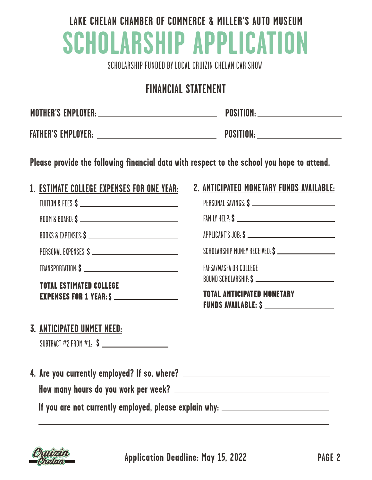SCHOLARSHIP FUNDED BY LOCAL CRUIZIN CHELAN CAR SHOW

#### **FINANCIAL STATEMENT**

| <b>MOTHER'S EMPLOYER:</b> | <b>POSITION:</b> |
|---------------------------|------------------|
|                           |                  |
| <b>FATHER'S EMPLOYER:</b> | <b>POSITION:</b> |

**Please provide the following financial data with respect to the school you hope to attend.**

#### **1. ESTIMATE COLLEGE EXPENSES FOR ONE YEAR:**

| TUITION & FEES: \$ |  |
|--------------------|--|
|                    |  |

ROOM & BOARD: **\$**

BOOKS & EXPENSES:**\$**

PERSONAL EXPENSES:**\$**

TRANSPORTATION:**\$**

TOTAL ESTIMATED COLLEGE EXPENSES FOR 1 YEAR:**\$**

#### **3. ANTICIPATED UNMET NEED:**

SUBTRACT #2 FROM #1: **\$**

**4. Are you currently employed? If so, where? How many hours do you work per week?**

**If you are not currently employed, please explain why:**



**Application Deadline: May 15, 2022 PAGE 2**

#### **2. ANTICIPATED MONETARY FUNDS AVAILABLE:**

| PERSONAL SAVINGS: \$                                            |  |
|-----------------------------------------------------------------|--|
|                                                                 |  |
| APPLICANT'S JOB: \$                                             |  |
| SCHOLARSHIP MONEY RECEIVED: \$ _________________________        |  |
| <b>FAFSA/WASFA OR COLLEGE</b>                                   |  |
| <b>TOTAL ANTICIPATED MONETARY</b><br><b>FUNDS AVAILABLE: \$</b> |  |